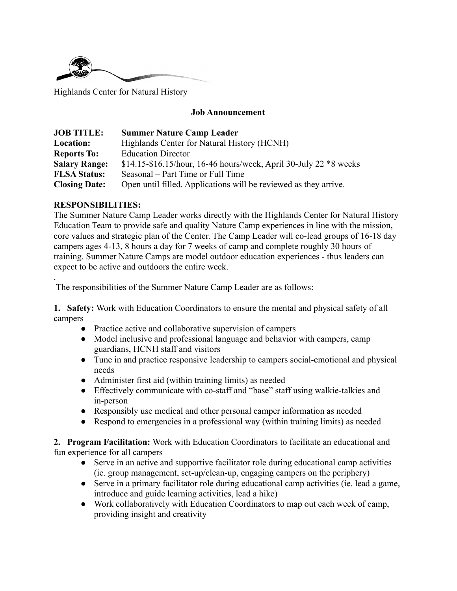

Highlands Center for Natural History

#### **Job Announcement**

| <b>JOB TITLE:</b>    | <b>Summer Nature Camp Leader</b>                                  |
|----------------------|-------------------------------------------------------------------|
| Location:            | Highlands Center for Natural History (HCNH)                       |
| <b>Reports To:</b>   | <b>Education Director</b>                                         |
| <b>Salary Range:</b> | \$14.15-\$16.15/hour, 16-46 hours/week, April 30-July 22 *8 weeks |
| <b>FLSA Status:</b>  | Seasonal – Part Time or Full Time                                 |
| <b>Closing Date:</b> | Open until filled. Applications will be reviewed as they arrive.  |

#### **RESPONSIBILITIES:**

.

The Summer Nature Camp Leader works directly with the Highlands Center for Natural History Education Team to provide safe and quality Nature Camp experiences in line with the mission, core values and strategic plan of the Center. The Camp Leader will co-lead groups of 16-18 day campers ages 4-13, 8 hours a day for 7 weeks of camp and complete roughly 30 hours of training. Summer Nature Camps are model outdoor education experiences - thus leaders can expect to be active and outdoors the entire week.

The responsibilities of the Summer Nature Camp Leader are as follows:

**1. Safety:** Work with Education Coordinators to ensure the mental and physical safety of all campers

- Practice active and collaborative supervision of campers
- Model inclusive and professional language and behavior with campers, camp guardians, HCNH staff and visitors
- Tune in and practice responsive leadership to campers social-emotional and physical needs
- Administer first aid (within training limits) as needed
- Effectively communicate with co-staff and "base" staff using walkie-talkies and in-person
- Responsibly use medical and other personal camper information as needed
- Respond to emergencies in a professional way (within training limits) as needed

**2. Program Facilitation:** Work with Education Coordinators to facilitate an educational and fun experience for all campers

- Serve in an active and supportive facilitator role during educational camp activities (ie. group management, set-up/clean-up, engaging campers on the periphery)
- Serve in a primary facilitator role during educational camp activities (ie. lead a game, introduce and guide learning activities, lead a hike)
- Work collaboratively with Education Coordinators to map out each week of camp, providing insight and creativity